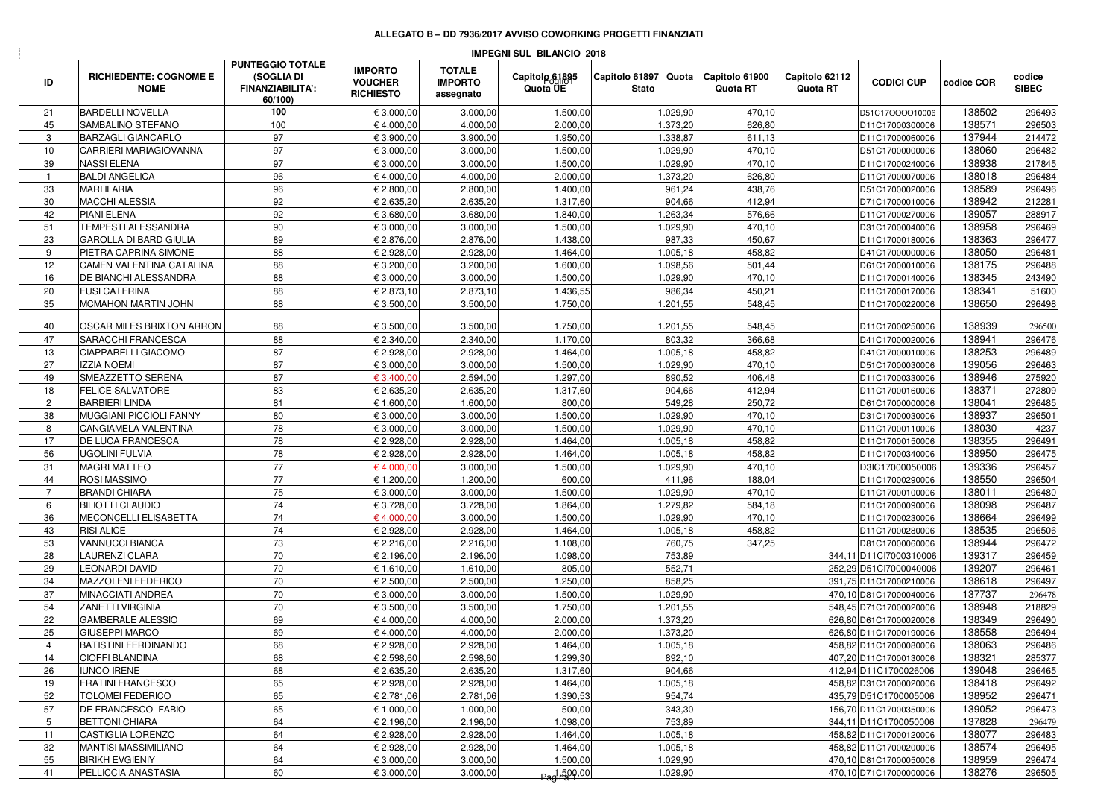## **ALLEGATO B – DD 7936/2017 AVVISO COWORKING PROGETTI FINANZIATI**

| <b>IMPEGNI SUL BILANCIO 2018</b> |                                               |                                                                             |                                                      |                                              |                            |                                      |                            |                            |                                                  |                  |                        |  |
|----------------------------------|-----------------------------------------------|-----------------------------------------------------------------------------|------------------------------------------------------|----------------------------------------------|----------------------------|--------------------------------------|----------------------------|----------------------------|--------------------------------------------------|------------------|------------------------|--|
| ID                               | <b>RICHIEDENTE: COGNOME E</b><br><b>NOME</b>  | <b>PUNTEGGIO TOTALE</b><br>(SOGLIA DI<br><b>FINANZIABILITA':</b><br>60/100) | <b>IMPORTO</b><br><b>VOUCHER</b><br><b>RICHIESTO</b> | <b>TOTALE</b><br><b>IMPORTO</b><br>assegnato | Capitole 61895<br>Quota UE | Capitolo 61897 Quota<br><b>Stato</b> | Capitolo 61900<br>Quota RT | Capitolo 62112<br>Quota RT | <b>CODICI CUP</b>                                | codice COR       | codice<br><b>SIBEC</b> |  |
| 21                               | <b>BARDELLI NOVELLA</b>                       | 100                                                                         | € 3.000,00                                           | 3.000,00                                     | 1.500,00                   | 1.029,90                             | 470,10                     |                            | D51C17OOOO10006                                  | 138502           | 296493                 |  |
| 45                               | SAMBALINO STEFANO                             | 100                                                                         | €4.000,00                                            | 4.000,00                                     | 2.000,00                   | 1.373,20                             | 626,80                     |                            | D11C17000300006                                  | 138571           | 296503                 |  |
| 3                                | <b>BARZAGLI GIANCARLO</b>                     | 97                                                                          | € 3.900,00                                           | 3.900,00                                     | 1.950,00                   | 1.338,87                             | 611,13                     |                            | D11C17000060006                                  | 137944           | 214472                 |  |
| 10                               | CARRIERI MARIAGIOVANNA                        | 97                                                                          | € 3.000,00                                           | 3.000,00                                     | 1.500,00                   | 1.029,90                             | 470,10                     |                            | D51C17000000006                                  | 138060           | 296482                 |  |
| 39                               | <b>NASSI ELENA</b>                            | 97                                                                          | € 3.000,00                                           | 3.000,00                                     | 1.500,00                   | 1.029,90                             | 470,10                     |                            | D11C17000240006                                  | 138938           | 217845                 |  |
|                                  | <b>BALDI ANGELICA</b>                         | 96                                                                          | €4.000,00                                            | 4.000,00                                     | 2.000,00                   | 1.373,20                             | 626,80                     |                            | D11C17000070006                                  | 138018           | 296484                 |  |
| 33                               | <b>MARI ILARIA</b>                            | 96                                                                          | € 2.800,00                                           | 2.800,00                                     | 1.400,00                   | 961,24                               | 438,76                     |                            | D51C17000020006                                  | 138589           | 296496                 |  |
| 30                               | <b>MACCHI ALESSIA</b>                         | 92                                                                          | € 2.635,20                                           | 2.635,20                                     | 1.317,60                   | 904,66                               | 412,94                     |                            | D71C17000010006                                  | 138942           | 212281                 |  |
| 42                               | <b>PIANI ELENA</b>                            | 92                                                                          | € 3.680,00                                           | 3.680,00                                     | 1.840,00                   | 1.263,34                             | 576,66                     |                            | D11C17000270006                                  | 139057           | 288917                 |  |
| 51                               | TEMPESTI ALESSANDRA                           | 90                                                                          | € 3.000,00                                           | 3.000,00                                     | 1.500,00                   | 1.029,90                             | 470,10                     |                            | D31C17000040006                                  | 138958           | 296469                 |  |
| 23                               | <b>GAROLLA DI BARD GIULIA</b>                 | 89                                                                          | € 2.876,00                                           | 2.876,00                                     | 1.438,00                   | 987,33                               | 450,67                     |                            | D11C17000180006                                  | 138363           | 296477                 |  |
| 9                                | PIETRA CAPRINA SIMONE                         | 88                                                                          | € 2.928,00                                           | 2.928,00                                     | 1.464,00                   | 1.005,18                             | 458,82                     |                            | D41C17000000006                                  | 138050           | 296481                 |  |
| 12                               | CAMEN VALENTINA CATALINA                      | 88                                                                          | € 3.200,00                                           | 3.200,00                                     | 1.600,00                   | 1.098,56                             | 501,44                     |                            | D61C17000010006                                  | 138175           | 296488                 |  |
| 16                               | DE BIANCHI ALESSANDRA                         | 88                                                                          | € 3.000,00                                           | 3.000,00                                     | 1.500,00                   | 1.029,90                             | 470,10                     |                            | D11C17000140006                                  | 138345           | 243490                 |  |
| 20                               | <b>FUSI CATERINA</b>                          | 88                                                                          | € 2.873,10                                           | 2.873,10                                     | 1.436,55                   | 986,34                               | 450,21                     |                            | D11C17000170006                                  | 138341           | 51600                  |  |
| 35                               | MCMAHON MARTIN JOHN                           | 88                                                                          | € 3.500,00                                           | 3.500,00                                     | 1.750,00                   | 1.201,55                             | 548,45                     |                            | D11C17000220006                                  | 138650           | 296498                 |  |
| 40                               | OSCAR MILES BRIXTON ARRON                     | 88                                                                          | € 3.500,00                                           | 3.500,00                                     | 1.750,00                   | 1.201,55                             | 548,45                     |                            | D11C17000250006                                  | 138939           | 296500                 |  |
| 47                               | SARACCHI FRANCESCA                            | 88                                                                          | € 2.340,00                                           | 2.340,00                                     | 1.170,00                   | 803,32                               | 366,68                     |                            | D41C17000020006                                  | 138941           | 296476                 |  |
| 13                               | CIAPPARELLI GIACOMO                           | 87                                                                          | € 2.928,00                                           | 2.928,00                                     | 1.464,00                   | 1.005,18                             | 458,82                     |                            | D41C17000010006                                  | 138253           | 296489                 |  |
| 27                               | <b>IZZIA NOEMI</b>                            | 87                                                                          | € 3.000,00                                           | 3.000,00                                     | 1.500,00                   | 1.029,90                             | 470,10                     |                            | D51C17000030006                                  | 139056           | 296463                 |  |
| 49                               | SMEAZZETTO SERENA                             | 87                                                                          | € 3.400,00                                           | 2.594,00                                     | 1.297,00                   | 890,52                               | 406,48                     |                            | D11C17000330006                                  | 138946           | 275920                 |  |
| 18                               | <b>FELICE SALVATORE</b>                       | 83                                                                          | € 2.635,20                                           | 2.635,20                                     | 1.317,60                   | 904,66                               | 412,94                     |                            | D11C17000160006                                  | 138371           | 272809                 |  |
| $\overline{2}$                   | <b>BARBIERI LINDA</b>                         | 81                                                                          | € 1.600,00                                           | 1.600,00                                     | 800,00                     | 549,28                               | 250,72                     |                            | D61C17000000006                                  | 138041           | 296485                 |  |
| 38                               | MUGGIANI PICCIOLI FANNY                       | 80                                                                          | € 3.000,00                                           | 3.000,00                                     | 1.500,00                   | 1.029,90                             | 470,10                     |                            | D31C17000030006                                  | 138937           | 296501                 |  |
| 8                                | CANGIAMELA VALENTINA                          | 78                                                                          | € 3.000,00                                           | 3.000,00                                     | 1.500,00                   | 1.029,90                             | 470,10                     |                            | D11C17000110006                                  | 138030           | 4237                   |  |
| 17                               | DE LUCA FRANCESCA                             | 78                                                                          | € 2.928,00                                           | 2.928,00                                     | 1.464,00                   | 1.005,18                             | 458,82                     |                            | D11C17000150006                                  | 138355           | 296491                 |  |
| 56                               | <b>UGOLINI FULVIA</b>                         | 78                                                                          | € 2.928,00                                           | 2.928,00                                     | 1.464,00                   | 1.005,18                             | 458,82                     |                            | D11C17000340006                                  | 138950           | 296475                 |  |
| 31                               | <b>MAGRI MATTEO</b>                           | 77                                                                          | €4.000,0                                             | 3.000,00                                     | 1.500,00                   | 1.029,90                             | 470,10                     |                            | D3IC17000050006                                  | 139336           | 296457                 |  |
| 44                               | ROSI MASSIMO                                  | 77                                                                          | € 1.200,00                                           | 1.200,00                                     | 600,00                     | 411,96                               | 188,04                     |                            | D11C17000290006                                  | 138550           | 296504                 |  |
| 7                                | <b>BRANDI CHIARA</b>                          | 75                                                                          | € 3.000,00                                           | 3.000,00                                     | 1.500,00                   | 1.029,90                             | 470,10                     |                            | D11C17000100006                                  | 138011           | 296480                 |  |
| 6                                | <b>BILIOTTI CLAUDIO</b>                       | 74                                                                          | € 3.728,00                                           | 3.728,00                                     | 1.864,00                   | 1.279,82                             | 584,18                     |                            | D11C17000090006                                  | 138098           | 296487                 |  |
| 36                               | MECONCELLI ELISABETTA                         | 74                                                                          | €4.000,00                                            | 3.000,00                                     | 1.500,00                   | 1.029,90                             | 470,10                     |                            | D11C17000230006                                  | 138664           | 296499                 |  |
| 43<br>53                         | <b>RISI ALICE</b><br>VANNUCCI BIANCA          | 74<br>73                                                                    | € 2.928,00<br>€ 2.216,00                             | 2.928,00<br>2.216,00                         | 1.464,00<br>1.108,00       | 1.005,18<br>760,75                   | 458,82<br>347,25           |                            | D11C17000280006<br>D81C17000060006               | 138535<br>138944 | 296506<br>296472       |  |
| 28                               | LAURENZI CLARA                                | 70                                                                          | € 2.196,00                                           | 2.196,00                                     | 1.098,00                   | 753,89                               |                            |                            | 344,11 D11Cl7000310006                           | 139317           | 296459                 |  |
| 29                               | <b>LEONARDI DAVID</b>                         | 70                                                                          | € 1.610,00                                           | 1.610,00                                     | 805,00                     | 552,71                               |                            |                            | 252.29 D51Cl7000040006                           | 139207           | 296461                 |  |
| 34                               | MAZZOLENI FEDERICO                            | 70                                                                          | € 2.500,00                                           | 2.500,00                                     | 1.250,00                   | 858,25                               |                            |                            | 391,75 D11C17000210006                           | 138618           | 296497                 |  |
| 37                               | MINACCIATI ANDREA                             | 70                                                                          | € 3.000,00                                           | 3.000,00                                     | 1.500,00                   | 1.029,90                             |                            |                            | 470,10 D81C17000040006                           | 137737           | 296478                 |  |
| 54                               | ZANETTI VIRGINIA                              | 70                                                                          | € 3.500,00                                           | 3.500,00                                     | 1.750,00                   | 1.201,55                             |                            |                            | 548,45 D71C17000020006                           | 138948           | 218829                 |  |
| 22                               | <b>GAMBERALE ALESSIO</b>                      | 69                                                                          | €4.000,00                                            | 4.000,00                                     | 2.000,00                   | 1.373,20                             |                            |                            | 626,80 D61C17000020006                           | 138349           | 296490                 |  |
| 25                               | <b>GIUSEPPI MARCO</b>                         | 69                                                                          | €4.000,00                                            | 4.000,00                                     | 2.000,00                   | 1.373,20                             |                            |                            | 626,80 D11C17000190006                           | 138558           | 296494                 |  |
| 4                                | <b>BATISTINI FERDINANDO</b>                   | 68                                                                          | € 2.928,00                                           | 2.928,00                                     | 1.464,00                   | 1.005, 18                            |                            |                            | 458,82 D11C17000080006                           | 138063           | 296486                 |  |
| 14                               | <b>CIOFFI BLANDINA</b>                        | 68                                                                          | € 2.598,60                                           | 2.598,60                                     | 1.299,30                   | 892,10                               |                            |                            | 407,20 D11C17000130006                           | 138321           | 285377                 |  |
| 26                               | <b>IUNCO IRENE</b>                            | 68                                                                          | € 2.635,20                                           | 2.635,20                                     | 1.317,60                   | 904,66                               |                            |                            | 412.94 D11C1700026006                            | 139048           | 296465                 |  |
| 19                               | <b>FRATINI FRANCESCO</b>                      | 65                                                                          | € 2.928,00                                           | 2.928,00                                     | 1.464,00                   | 1.005,18                             |                            |                            | 458,82 D31C17000020006                           | 138418           | 296492                 |  |
| 52                               | <b>TOLOMEI FEDERICO</b>                       | 65                                                                          | € 2.781,06                                           | 2.781,06                                     | 1.390,53                   | 954,74                               |                            |                            | 435,79 D51C1700005006                            | 138952           | 296471                 |  |
| 57                               | <b>DE FRANCESCO FABIO</b>                     | 65                                                                          | € 1.000,00                                           | 1.000,00                                     | 500,00                     | 343,30                               |                            |                            | 156,70 D11C17000350006                           | 139052           | 296473                 |  |
| 5                                | <b>BETTONI CHIARA</b>                         | 64                                                                          | € 2.196,00                                           | 2.196,00                                     | 1.098,00                   | 753,89                               |                            |                            | 344,11 D11C1700050006                            | 137828           | 296479                 |  |
| 11                               | CASTIGLIA LORENZO                             | 64                                                                          | € 2.928.00                                           | 2.928,00                                     | 1.464,00                   | 1.005,18                             |                            |                            | 458,82 D11C17000120006                           | 138077           | 296483                 |  |
| 32                               | <b>MANTISI MASSIMILIANO</b>                   | 64                                                                          | € 2.928,00                                           | 2.928,00                                     | 1.464,00                   | 1.005,18                             |                            |                            | 458,82 D11C17000200006                           | 138574           | 296495                 |  |
| 55                               | <b>BIRIKH EVGIENIY</b><br>PELLICCIA ANASTASIA | 64                                                                          | € 3.000,00<br>€ 3.000,00                             | 3.000,00<br>3.000,00                         | 1.500,00                   | 1.029,90<br>1.029,90                 |                            |                            | 470,10 D81C17000050006<br>470,10 D71C17000000006 | 138959<br>138276 | 296474<br>296505       |  |
| 41                               |                                               | 60                                                                          |                                                      |                                              | Pagina 1,500,00            |                                      |                            |                            |                                                  |                  |                        |  |